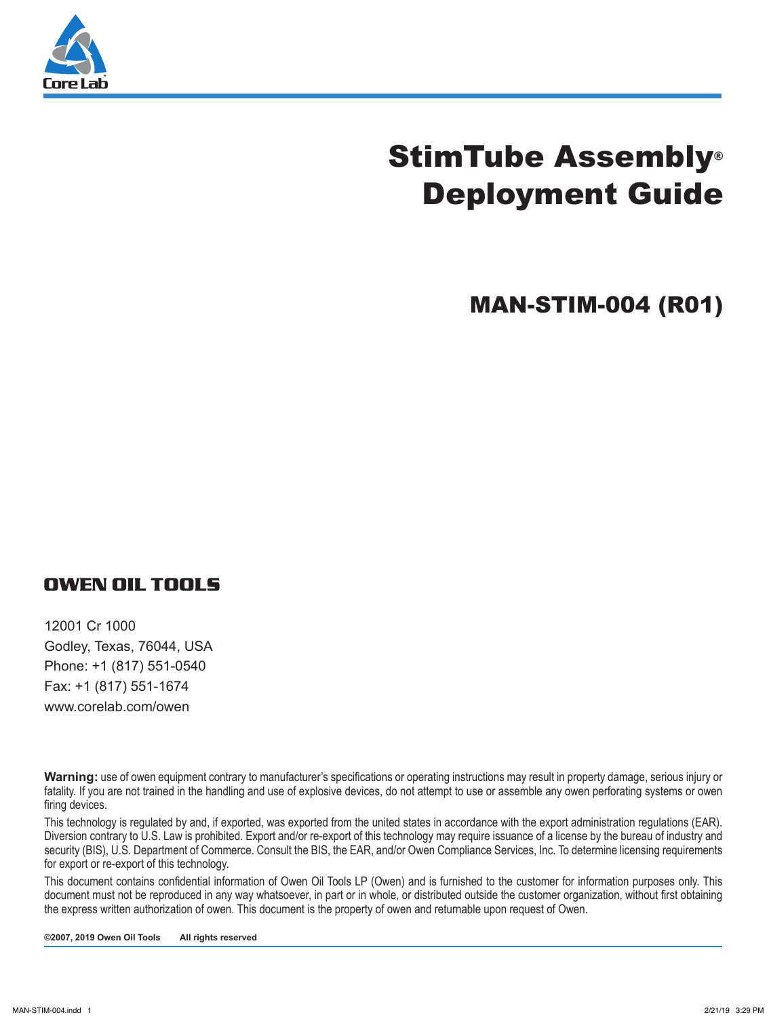

# StimTube Assembly® Deployment Guide

MAN-STIM-004 (R01)

#### **OWEN OIL TOOLS**

12001 Cr 1000 Godley, Texas, 76044, USA Phone: +1 (817) 551-0540 Fax: +1 (817) 551-1674 www.corelab.com/owen

**Warning:** use of owen equipment contrary to manufacturer's specifications or operating instructions may result in property damage, serious injury or fatality. If you are not trained in the handling and use of explosive devices, do not attempt to use or assemble any owen perforating systems or owen firing devices.

This technology is regulated by and, if exported, was exported from the united states in accordance with the export administration regulations (EAR). Diversion contrary to U.S. Law is prohibited. Export and/or re-export of this technology may require issuance of a license by the bureau of industry and security (BIS), U.S. Department of Commerce. Consult the BIS, the EAR, and/or Owen Compliance Services, Inc. To determine licensing requirements for export or re-export of this technology.

This document contains confidential information of Owen Oil Tools LP (Owen) and is furnished to the customer for information purposes only. This document must not be reproduced in any way whatsoever, in part or in whole, or distributed outside the customer organization, without first obtaining the express written authorization of owen. This document is the property of owen and returnable upon request of Owen.

**©2007, 2019 Owen Oil Tools All rights reserved**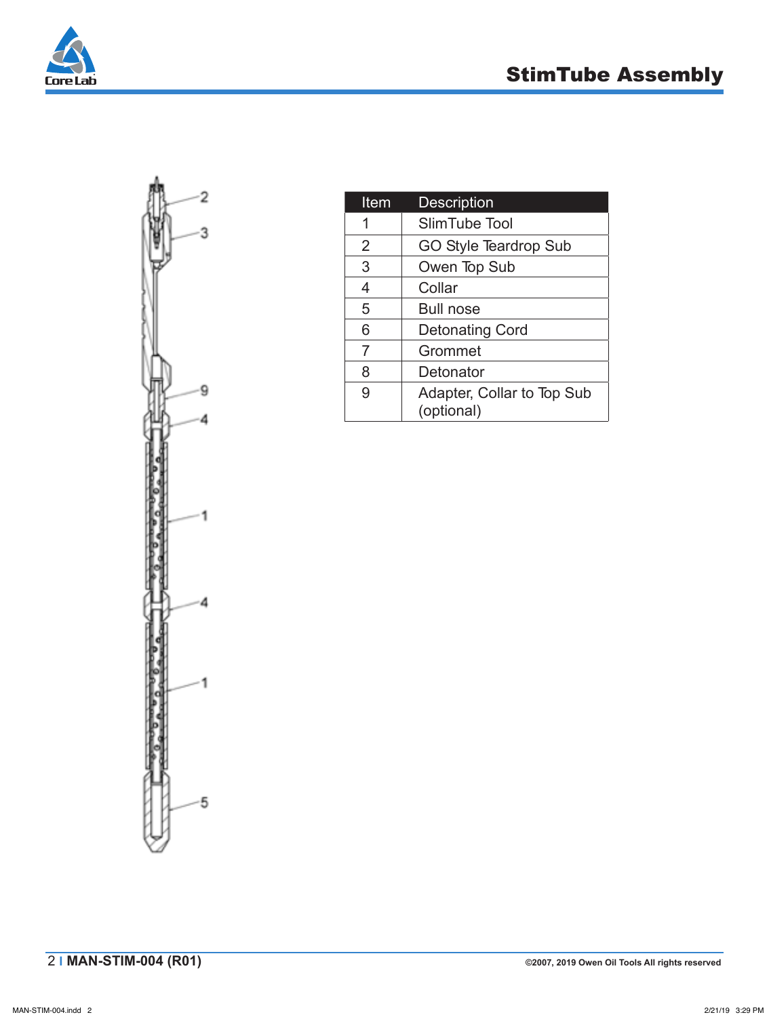





| Item           | <b>Description</b>                       |
|----------------|------------------------------------------|
| 1              | SlimTube Tool                            |
| $\overline{2}$ | <b>GO Style Teardrop Sub</b>             |
| 3              | Owen Top Sub                             |
| 4              | Collar                                   |
| 5              | <b>Bull nose</b>                         |
| 6              | <b>Detonating Cord</b>                   |
| $\overline{7}$ | Grommet                                  |
| 8              | Detonator                                |
| 9              | Adapter, Collar to Top Sub<br>(optional) |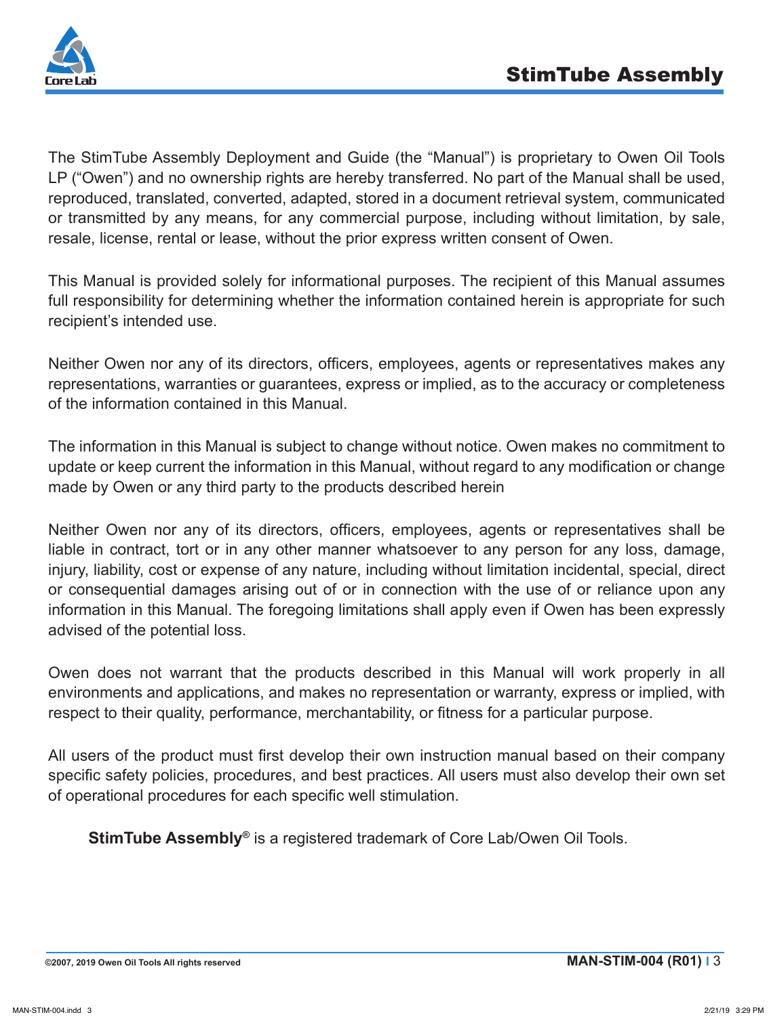

The StimTube Assembly Deployment and Guide (the "Manual") is proprietary to Owen Oil Tools LP ("Owen") and no ownership rights are hereby transferred. No part of the Manual shall be used, reproduced, translated, converted, adapted, stored in a document retrieval system, communicated or transmitted by any means, for any commercial purpose, including without limitation, by sale, resale, license, rental or lease, without the prior express written consent of Owen.

This Manual is provided solely for informational purposes. The recipient of this Manual assumes full responsibility for determining whether the information contained herein is appropriate for such recipient's intended use.

Neither Owen nor any of its directors, officers, employees, agents or representatives makes any representations, warranties or guarantees, express or implied, as to the accuracy or completeness of the information contained in this Manual.

The information in this Manual is subject to change without notice. Owen makes no commitment to update or keep current the information in this Manual, without regard to any modification or change made by Owen or any third party to the products described herein

Neither Owen nor any of its directors, officers, employees, agents or representatives shall be liable in contract, tort or in any other manner whatsoever to any person for any loss, damage, injury, liability, cost or expense of any nature, including without limitation incidental, special, direct or consequential damages arising out of or in connection with the use of or reliance upon any information in this Manual. The foregoing limitations shall apply even if Owen has been expressly advised of the potential loss.

Owen does not warrant that the products described in this Manual will work properly in all environments and applications, and makes no representation or warranty, express or implied, with respect to their quality, performance, merchantability, or fitness for a particular purpose.

All users of the product must first develop their own instruction manual based on their company specific safety policies, procedures, and best practices. All users must also develop their own set of operational procedures for each specific well stimulation.

**StimTube Assembly®** is a registered trademark of Core Lab/Owen Oil Tools.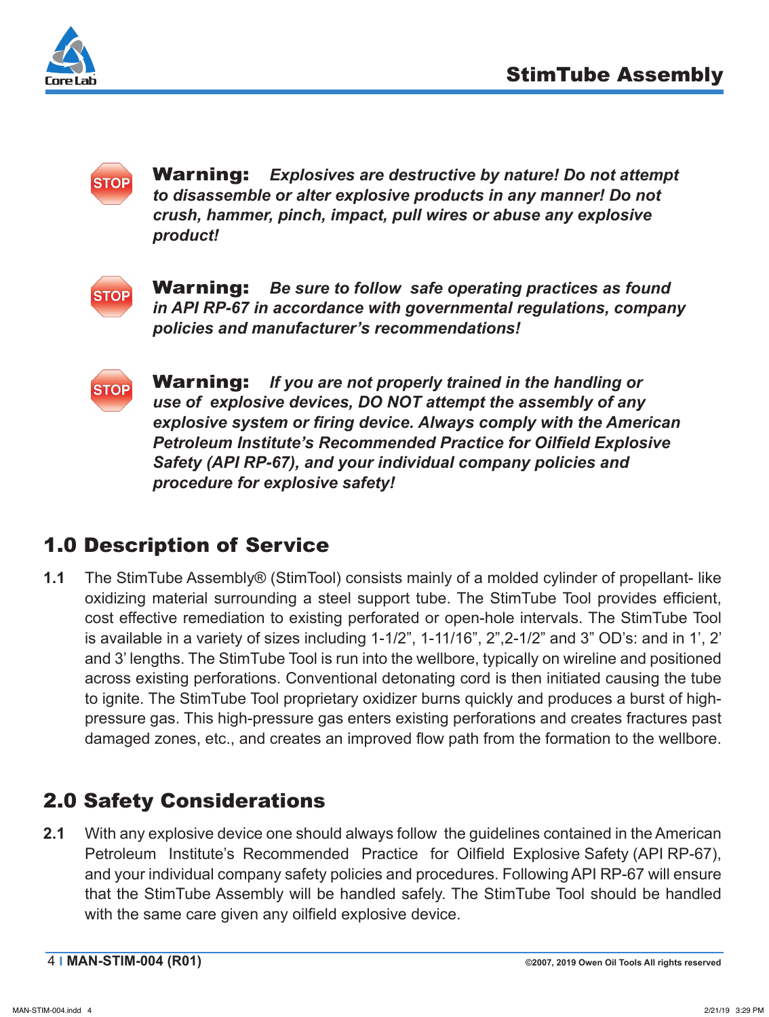



Warning: *Explosives are destructive by nature! Do not attempt to disassemble or alter explosive products in any manner! Do not crush, hammer, pinch, impact, pull wires or abuse any explosive product!*



Warning: *Be sure to follow safe operating practices as found in API RP-67 in accordance with governmental regulations, company policies and manufacturer's recommendations!*



Warning: *If you are not properly trained in the handling or use of explosive devices, DO NOT attempt the assembly of any explosive system or firing device. Always comply with the American Petroleum Institute's Recommended Practice for Oilfield Explosive Safety (API RP-67), and your individual company policies and procedure for explosive safety!*

# 1.0 Description of Service

**1.1** The StimTube Assembly® (StimTool) consists mainly of a molded cylinder of propellant- like oxidizing material surrounding a steel support tube. The StimTube Tool provides efficient, cost effective remediation to existing perforated or open-hole intervals. The StimTube Tool is available in a variety of sizes including 1-1/2", 1-11/16", 2",2-1/2" and 3" OD's: and in 1', 2' and 3' lengths. The StimTube Tool is run into the wellbore, typically on wireline and positioned across existing perforations. Conventional detonating cord is then initiated causing the tube to ignite. The StimTube Tool proprietary oxidizer burns quickly and produces a burst of highpressure gas. This high-pressure gas enters existing perforations and creates fractures past damaged zones, etc., and creates an improved flow path from the formation to the wellbore.

# 2.0 Safety Considerations

**2.1** With any explosive device one should always follow the guidelines contained in the American Petroleum Institute's Recommended Practice for Oilfield Explosive Safety (API RP-67), and your individual company safety policies and procedures. Following API RP-67 will ensure that the StimTube Assembly will be handled safely. The StimTube Tool should be handled with the same care given any oilfield explosive device.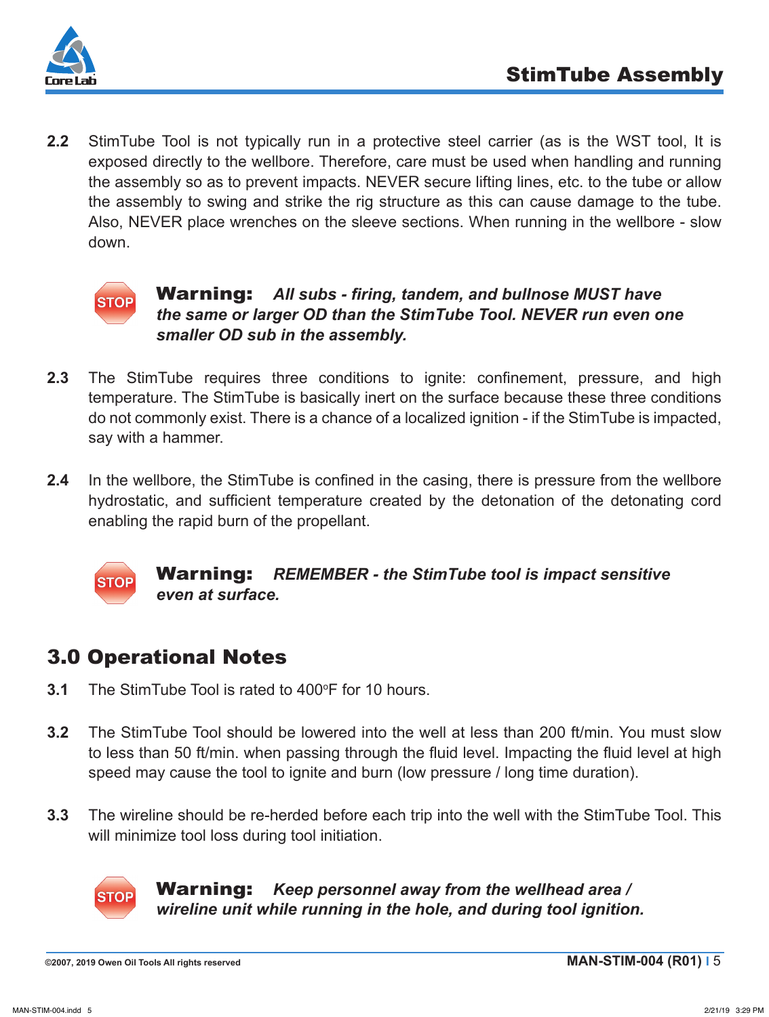

**2.2** StimTube Tool is not typically run in a protective steel carrier (as is the WST tool, It is exposed directly to the wellbore. Therefore, care must be used when handling and running the assembly so as to prevent impacts. NEVER secure lifting lines, etc. to the tube or allow the assembly to swing and strike the rig structure as this can cause damage to the tube. Also, NEVER place wrenches on the sleeve sections. When running in the wellbore - slow down.



#### Warning: *All subs - firing, tandem, and bullnose MUST have the same or larger OD than the StimTube Tool. NEVER run even one smaller OD sub in the assembly.*

- **2.3** The StimTube requires three conditions to ignite: confinement, pressure, and high temperature. The StimTube is basically inert on the surface because these three conditions do not commonly exist. There is a chance of a localized ignition - if the StimTube is impacted, say with a hammer.
- **2.4** In the wellbore, the StimTube is confined in the casing, there is pressure from the wellbore hydrostatic, and sufficient temperature created by the detonation of the detonating cord enabling the rapid burn of the propellant.



Warning: *REMEMBER - the StimTube tool is impact sensitive even at surface.*

## 3.0 Operational Notes

- **3.1** The StimTube Tool is rated to 400°F for 10 hours.
- **3.2** The StimTube Tool should be lowered into the well at less than 200 ft/min. You must slow to less than 50 ft/min. when passing through the fluid level. Impacting the fluid level at high speed may cause the tool to ignite and burn (low pressure / long time duration).
- **3.3** The wireline should be re-herded before each trip into the well with the StimTube Tool. This will minimize tool loss during tool initiation.



Warning: *Keep personnel away from the wellhead area / wireline unit while running in the hole, and during tool ignition.*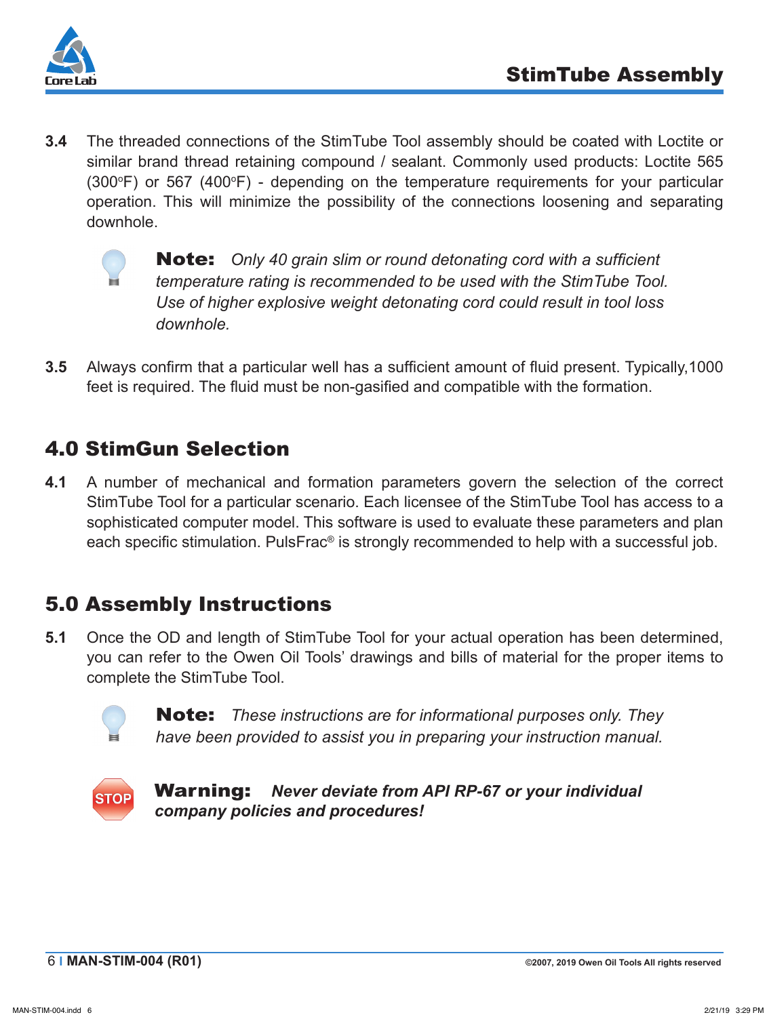

**3.4** The threaded connections of the StimTube Tool assembly should be coated with Loctite or similar brand thread retaining compound / sealant. Commonly used products: Loctite 565  $(300^{\circ}F)$  or 567  $(400^{\circ}F)$  - depending on the temperature requirements for your particular operation. This will minimize the possibility of the connections loosening and separating downhole.



Note: *Only 40 grain slim or round detonating cord with a sufficient temperature rating is recommended to be used with the StimTube Tool. Use of higher explosive weight detonating cord could result in tool loss downhole.*

**3.5** Always confirm that a particular well has a sufficient amount of fluid present. Typically,1000 feet is required. The fluid must be non-gasified and compatible with the formation.

### 4.0 StimGun Selection

**4.1** A number of mechanical and formation parameters govern the selection of the correct StimTube Tool for a particular scenario. Each licensee of the StimTube Tool has access to a sophisticated computer model. This software is used to evaluate these parameters and plan each specific stimulation. PulsFrac<sup>®</sup> is strongly recommended to help with a successful job.

### 5.0 Assembly Instructions

**5.1** Once the OD and length of StimTube Tool for your actual operation has been determined, you can refer to the Owen Oil Tools' drawings and bills of material for the proper items to complete the StimTube Tool.



Note: *These instructions are for informational purposes only. They have been provided to assist you in preparing your instruction manual.*



Warning: *Never deviate from API RP-67 or your individual company policies and procedures!*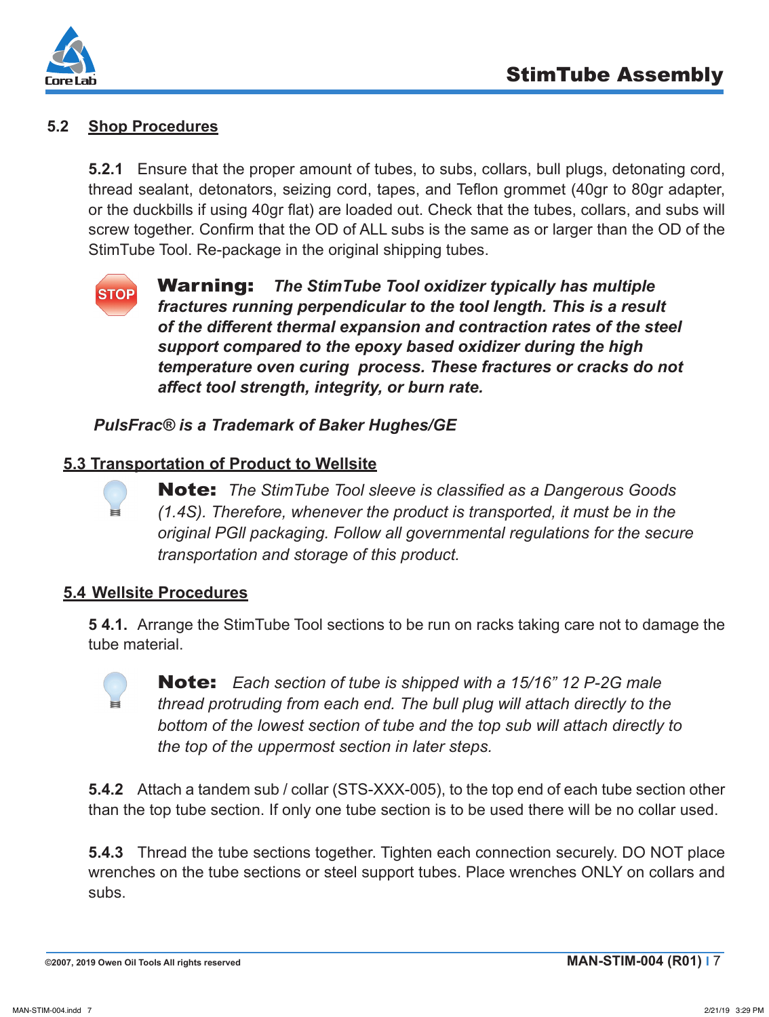

#### **5.2 Shop Procedures**

**5.2.1** Ensure that the proper amount of tubes, to subs, collars, bull plugs, detonating cord, thread sealant, detonators, seizing cord, tapes, and Teflon grommet (40gr to 80gr adapter, or the duckbills if using 40gr flat) are loaded out. Check that the tubes, collars, and subs will screw together. Confirm that the OD of ALL subs is the same as or larger than the OD of the StimTube Tool. Re-package in the original shipping tubes.



Warning: *The StimTube Tool oxidizer typically has multiple fractures running perpendicular to the tool length. This is a result of the different thermal expansion and contraction rates of the steel support compared to the epoxy based oxidizer during the high temperature oven curing process. These fractures or cracks do not affect tool strength, integrity, or burn rate.*

*PulsFrac® is a Trademark of Baker Hughes/GE*

#### **5.3 Transportation of Product to Wellsite**

Note: *The StimTube Tool sleeve is classified as a Dangerous Goods (1.4S). Therefore, whenever the product is transported, it must be in the original PGll packaging. Follow all governmental regulations for the secure transportation and storage of this product.*

#### **5.4 Wellsite Procedures**

**5 4.1.** Arrange the StimTube Tool sections to be run on racks taking care not to damage the tube material.



Note: *Each section of tube is shipped with a 15/16" 12 P-2G male thread protruding from each end. The bull plug will attach directly to the bottom of the lowest section of tube and the top sub will attach directly to the top of the uppermost section in later steps.*

**5.4.2** Attach a tandem sub / collar (STS-XXX-005), to the top end of each tube section other than the top tube section. If only one tube section is to be used there will be no collar used.

**5.4.3** Thread the tube sections together. Tighten each connection securely. DO NOT place wrenches on the tube sections or steel support tubes. Place wrenches ONLY on collars and subs.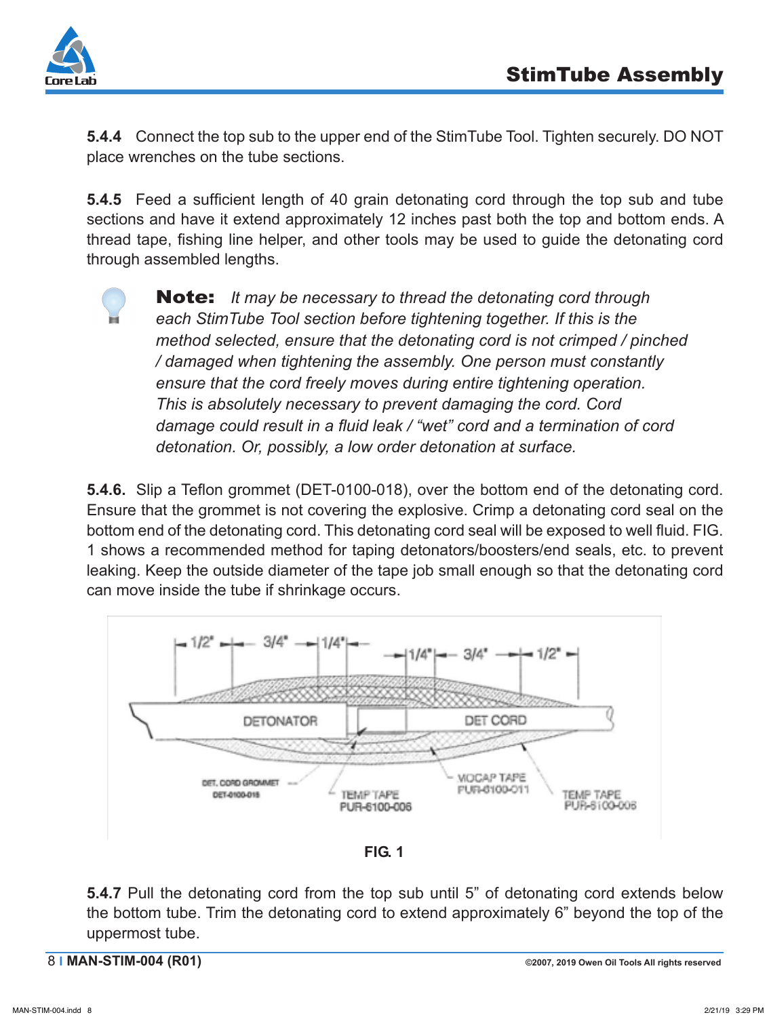

**5.4.4** Connect the top sub to the upper end of the StimTube Tool. Tighten securely. DO NOT place wrenches on the tube sections.

**5.4.5** Feed a sufficient length of 40 grain detonating cord through the top sub and tube sections and have it extend approximately 12 inches past both the top and bottom ends. A thread tape, fishing line helper, and other tools may be used to guide the detonating cord through assembled lengths.



Note: *It may be necessary to thread the detonating cord through each StimTube Tool section before tightening together. If this is the method selected, ensure that the detonating cord is not crimped / pinched / damaged when tightening the assembly. One person must constantly ensure that the cord freely moves during entire tightening operation. This is absolutely necessary to prevent damaging the cord. Cord damage could result in a fluid leak / "wet" cord and a termination of cord detonation. Or, possibly, a low order detonation at surface.* 

**5.4.6.** Slip a Teflon grommet (DET-0100-018), over the bottom end of the detonating cord. Ensure that the grommet is not covering the explosive. Crimp a detonating cord seal on the bottom end of the detonating cord. This detonating cord seal will be exposed to well fluid. FIG. 1 shows a recommended method for taping detonators/boosters/end seals, etc. to prevent leaking. Keep the outside diameter of the tape job small enough so that the detonating cord can move inside the tube if shrinkage occurs.



**FIG. 1**

**5.4.7** Pull the detonating cord from the top sub until 5" of detonating cord extends below the bottom tube. Trim the detonating cord to extend approximately 6" beyond the top of the uppermost tube.

8 **I MAN-STIM-004 (R01) ©2007, 2019 Owen Oil Tools All rights reserved**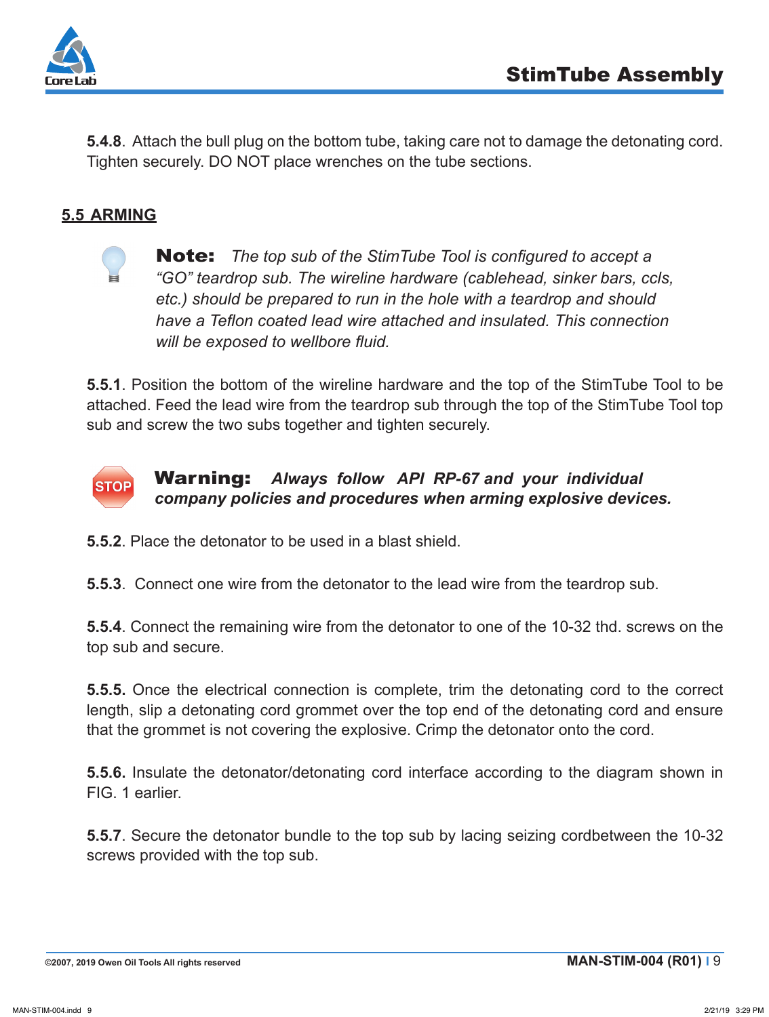

**5.4.8**. Attach the bull plug on the bottom tube, taking care not to damage the detonating cord. Tighten securely. DO NOT place wrenches on the tube sections.

#### **5.5 ARMING**



Note: *The top sub of the StimTube Tool is configured to accept a "GO" teardrop sub. The wireline hardware (cablehead, sinker bars, ccls, etc.) should be prepared to run in the hole with a teardrop and should have a Teflon coated lead wire attached and insulated. This connection will be exposed to wellbore fluid.*

**5.5.1**. Position the bottom of the wireline hardware and the top of the StimTube Tool to be attached. Feed the lead wire from the teardrop sub through the top of the StimTube Tool top sub and screw the two subs together and tighten securely.



#### Warning: *Always follow API RP-67 and your individual company policies and procedures when arming explosive devices.*

**5.5.2**. Place the detonator to be used in a blast shield.

**5.5.3**. Connect one wire from the detonator to the lead wire from the teardrop sub.

**5.5.4**. Connect the remaining wire from the detonator to one of the 10-32 thd. screws on the top sub and secure.

**5.5.5.** Once the electrical connection is complete, trim the detonating cord to the correct length, slip a detonating cord grommet over the top end of the detonating cord and ensure that the grommet is not covering the explosive. Crimp the detonator onto the cord.

**5.5.6.** Insulate the detonator/detonating cord interface according to the diagram shown in FIG. 1 earlier.

**5.5.7**. Secure the detonator bundle to the top sub by lacing seizing cordbetween the 10-32 screws provided with the top sub.